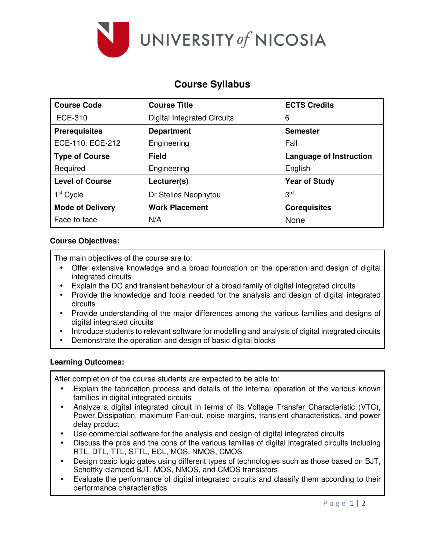

# **Course Syllabus**

| <b>Course Code</b>      | <b>Course Title</b>                | <b>ECTS Credits</b>            |
|-------------------------|------------------------------------|--------------------------------|
| <b>ECE-310</b>          | <b>Digital Integrated Circuits</b> | 6                              |
| <b>Prerequisites</b>    | <b>Department</b>                  | <b>Semester</b>                |
| ECE-110, ECE-212        | Engineering                        | Fall                           |
| <b>Type of Course</b>   | <b>Field</b>                       | <b>Language of Instruction</b> |
| Required                | Engineering                        | English                        |
| <b>Level of Course</b>  | Lecturer(s)                        | <b>Year of Study</b>           |
| 1 <sup>st</sup> Cycle   | Dr Stelios Neophytou               | 3 <sup>rd</sup>                |
| <b>Mode of Delivery</b> | <b>Work Placement</b>              | <b>Corequisites</b>            |
| Face-to-face            | N/A                                | None                           |

## **Course Objectives:**

The main objectives of the course are to:

- Offer extensive knowledge and a broad foundation on the operation and design of digital integrated circuits
- Explain the DC and transient behaviour of a broad family of digital integrated circuits
- Provide the knowledge and tools needed for the analysis and design of digital integrated circuits
- Provide understanding of the major differences among the various families and designs of digital integrated circuits
- Introduce students to relevant software for modelling and analysis of digital integrated circuits
- Demonstrate the operation and design of basic digital blocks

## **Learning Outcomes:**

After completion of the course students are expected to be able to:

- Explain the fabrication process and details of the internal operation of the various known families in digital integrated circuits
- Analyze a digital integrated circuit in terms of its Voltage Transfer Characteristic (VTC), Power Dissipation, maximum Fan-out, noise margins, transient characteristics, and power delay product
- Use commercial software for the analysis and design of digital integrated circuits
- Discuss the pros and the cons of the various families of digital integrated circuits including RTL, DTL, TTL, STTL, ECL, MOS, NMOS, CMOS
- Design basic logic gates using different types of technologies such as those based on BJT, Schottky-clamped BJT, MOS, NMOS, and CMOS transistors
- Evaluate the performance of digital integrated circuits and classify them according to their performance characteristics